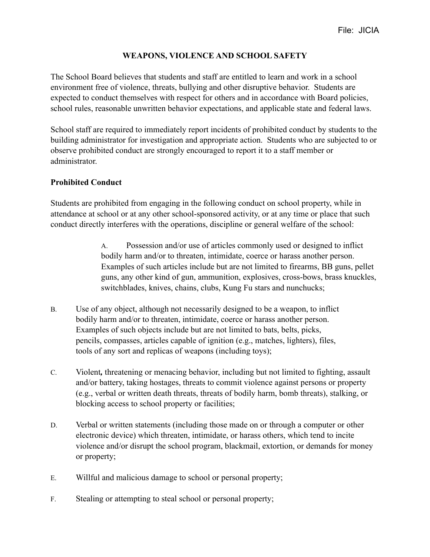## **WEAPONS, VIOLENCE AND SCHOOL SAFETY**

The School Board believes that students and staff are entitled to learn and work in a school environment free of violence, threats, bullying and other disruptive behavior. Students are expected to conduct themselves with respect for others and in accordance with Board policies, school rules, reasonable unwritten behavior expectations, and applicable state and federal laws.

School staff are required to immediately report incidents of prohibited conduct by students to the building administrator for investigation and appropriate action. Students who are subjected to or observe prohibited conduct are strongly encouraged to report it to a staff member or administrator.

## **Prohibited Conduct**

Students are prohibited from engaging in the following conduct on school property, while in attendance at school or at any other school-sponsored activity, or at any time or place that such conduct directly interferes with the operations, discipline or general welfare of the school:

> A. Possession and/or use of articles commonly used or designed to inflict bodily harm and/or to threaten, intimidate, coerce or harass another person. Examples of such articles include but are not limited to firearms, BB guns, pellet guns, any other kind of gun, ammunition, explosives, cross-bows, brass knuckles, switchblades, knives, chains, clubs, Kung Fu stars and nunchucks;

- B. Use of any object, although not necessarily designed to be a weapon, to inflict bodily harm and/or to threaten, intimidate, coerce or harass another person. Examples of such objects include but are not limited to bats, belts, picks, pencils, compasses, articles capable of ignition (e.g., matches, lighters), files, tools of any sort and replicas of weapons (including toys);
- C. Violent*,* threatening or menacing behavior, including but not limited to fighting, assault and/or battery, taking hostages, threats to commit violence against persons or property (e.g., verbal or written death threats, threats of bodily harm, bomb threats), stalking, or blocking access to school property or facilities;
- D. Verbal or written statements (including those made on or through a computer or other electronic device) which threaten, intimidate, or harass others, which tend to incite violence and/or disrupt the school program, blackmail, extortion, or demands for money or property;
- E. Willful and malicious damage to school or personal property;
- F. Stealing or attempting to steal school or personal property;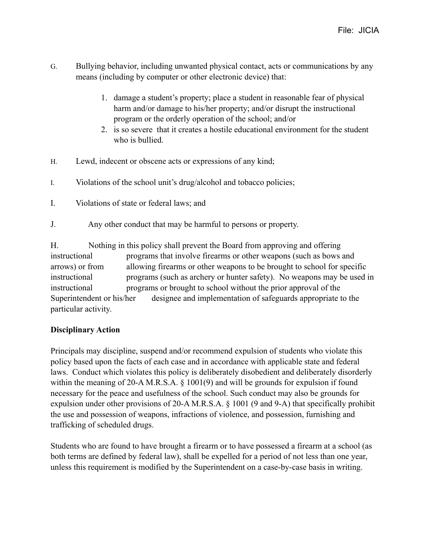- G. Bullying behavior, including unwanted physical contact, acts or communications by any means (including by computer or other electronic device) that:
	- 1. damage a student's property; place a student in reasonable fear of physical harm and/or damage to his/her property; and/or disrupt the instructional program or the orderly operation of the school; and/or
	- 2. is so severe that it creates a hostile educational environment for the student who is bullied.
- H. Lewd, indecent or obscene acts or expressions of any kind;
- I. Violations of the school unit's drug/alcohol and tobacco policies;
- I. Violations of state or federal laws; and
- J. Any other conduct that may be harmful to persons or property.

H. Nothing in this policy shall prevent the Board from approving and offering instructional programs that involve firearms or other weapons (such as bows and arrows) or from allowing firearms or other weapons to be brought to school for specific instructional programs (such as archery or hunter safety). No weapons may be used in instructional programs or brought to school without the prior approval of the Superintendent or his/her designee and implementation of safeguards appropriate to the particular activity.

## **Disciplinary Action**

Principals may discipline, suspend and/or recommend expulsion of students who violate this policy based upon the facts of each case and in accordance with applicable state and federal laws. Conduct which violates this policy is deliberately disobedient and deliberately disorderly within the meaning of 20-A M.R.S.A. § 1001(9) and will be grounds for expulsion if found necessary for the peace and usefulness of the school. Such conduct may also be grounds for expulsion under other provisions of 20-A M.R.S.A. § 1001 (9 and 9-A) that specifically prohibit the use and possession of weapons, infractions of violence, and possession, furnishing and trafficking of scheduled drugs.

Students who are found to have brought a firearm or to have possessed a firearm at a school (as both terms are defined by federal law), shall be expelled for a period of not less than one year, unless this requirement is modified by the Superintendent on a case-by-case basis in writing.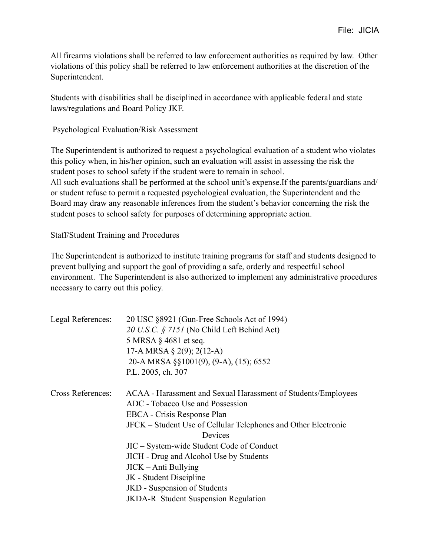All firearms violations shall be referred to law enforcement authorities as required by law. Other violations of this policy shall be referred to law enforcement authorities at the discretion of the Superintendent.

Students with disabilities shall be disciplined in accordance with applicable federal and state laws/regulations and Board Policy JKF.

Psychological Evaluation/Risk Assessment

The Superintendent is authorized to request a psychological evaluation of a student who violates this policy when, in his/her opinion, such an evaluation will assist in assessing the risk the student poses to school safety if the student were to remain in school. All such evaluations shall be performed at the school unit's expense.If the parents/guardians and/ or student refuse to permit a requested psychological evaluation, the Superintendent and the Board may draw any reasonable inferences from the student's behavior concerning the risk the student poses to school safety for purposes of determining appropriate action.

Staff/Student Training and Procedures

The Superintendent is authorized to institute training programs for staff and students designed to prevent bullying and support the goal of providing a safe, orderly and respectful school environment. The Superintendent is also authorized to implement any administrative procedures necessary to carry out this policy.

| Legal References:        | 20 USC §8921 (Gun-Free Schools Act of 1994)                    |
|--------------------------|----------------------------------------------------------------|
|                          | 20 U.S.C. § 7151 (No Child Left Behind Act)                    |
|                          | 5 MRSA $\S$ 4681 et seq.                                       |
|                          | 17-A MRSA § 2(9); 2(12-A)                                      |
|                          | 20-A MRSA §§1001(9), (9-A), (15); 6552                         |
|                          | P.L. 2005, ch. 307                                             |
| <b>Cross References:</b> | ACAA - Harassment and Sexual Harassment of Students/Employees  |
|                          | ADC - Tobacco Use and Possession                               |
|                          | EBCA - Crisis Response Plan                                    |
|                          | JFCK – Student Use of Cellular Telephones and Other Electronic |
|                          | Devices                                                        |
|                          | JIC – System-wide Student Code of Conduct                      |
|                          | <b>JICH</b> - Drug and Alcohol Use by Students                 |
|                          | $JICK - Anti$ Bullying                                         |
|                          | JK - Student Discipline                                        |
|                          | JKD - Suspension of Students                                   |
|                          | <b>JKDA-R</b> Student Suspension Regulation                    |